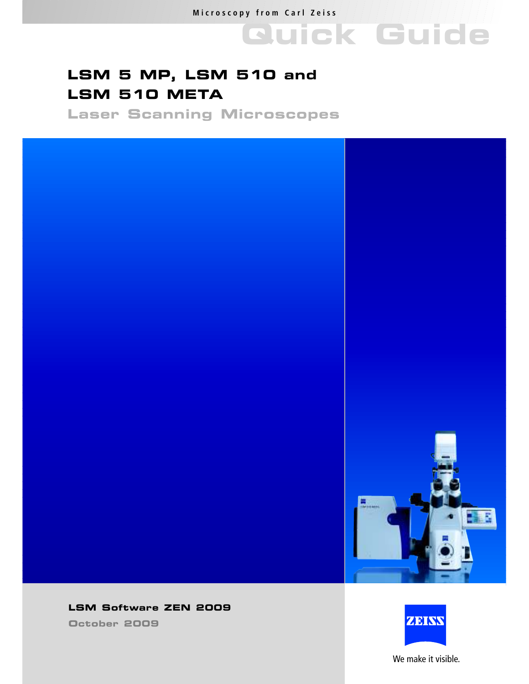**Quick Guide**

# **LSM 5 MP, LSM 510 and LSM 510 META**

**Laser Scanning Microscopes**



## **LSM Software ZEN 2009**

**October 2009**



We make it visible.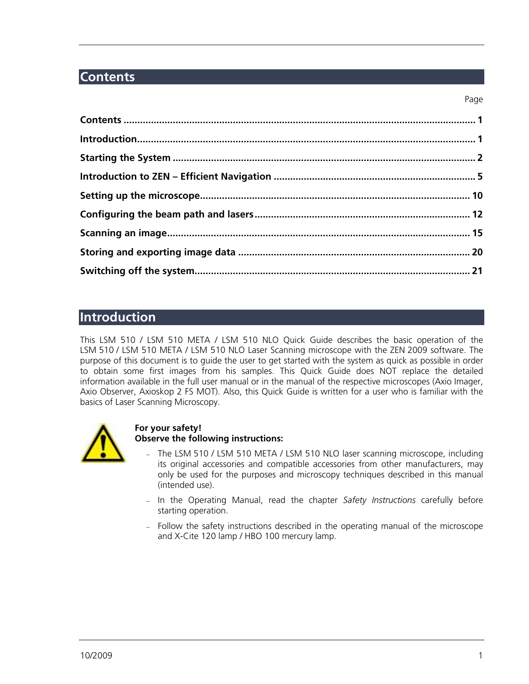## **Contents**

## **Introduction**

This LSM 510 / LSM 510 META / LSM 510 NLO Quick Guide describes the basic operation of the LSM 510 / LSM 510 META / LSM 510 NLO Laser Scanning microscope with the ZEN 2009 software. The purpose of this document is to guide the user to get started with the system as quick as possible in order to obtain some first images from his samples. This Quick Guide does NOT replace the detailed information available in the full user manual or in the manual of the respective microscopes (Axio Imager, Axio Observer, Axioskop 2 FS MOT). Also, this Quick Guide is written for a user who is familiar with the basics of Laser Scanning Microscopy.



#### **For your safety! Observe the following instructions:**

- The LSM 510 / LSM 510 META / LSM 510 NLO laser scanning microscope, including its original accessories and compatible accessories from other manufacturers, may only be used for the purposes and microscopy techniques described in this manual (intended use).
- In the Operating Manual, read the chapter *Safety Instructions* carefully before starting operation.
- Follow the safety instructions described in the operating manual of the microscope and X-Cite 120 lamp / HBO 100 mercury lamp.

Page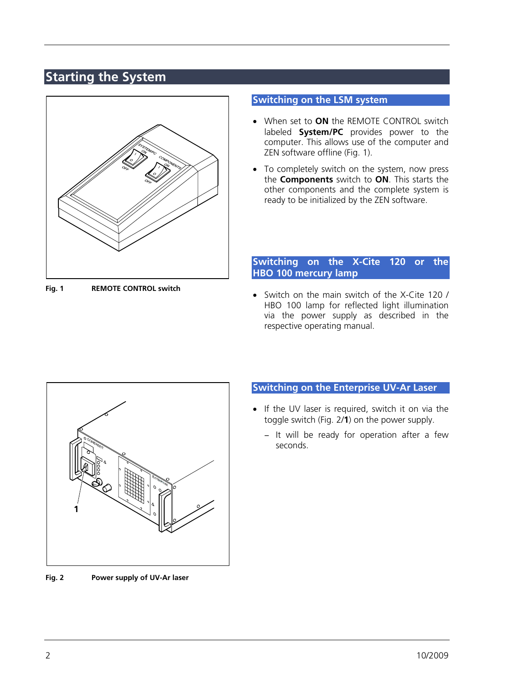## **Starting the System**



**Fig. 1 REMOTE CONTROL switch** 

## **Switching on the LSM system**

- ! When set to **ON** the REMOTE CONTROL switch labeled **System/PC** provides power to the computer. This allows use of the computer and ZEN software offline (Fig. 1).
- To completely switch on the system, now press the **Components** switch to **ON**. This starts the other components and the complete system is ready to be initialized by the ZEN software.

## **Switching on the X-Cite 120 or the HBO 100 mercury lamp**

! Switch on the main switch of the X-Cite 120 / HBO 100 lamp for reflected light illumination via the power supply as described in the respective operating manual.



**Switching on the Enterprise UV-Ar Laser** 

- If the UV laser is required, switch it on via the toggle switch (Fig. 2/**1**) on the power supply.
	- It will be ready for operation after a few seconds.

**Fig. 2 Power supply of UV-Ar laser**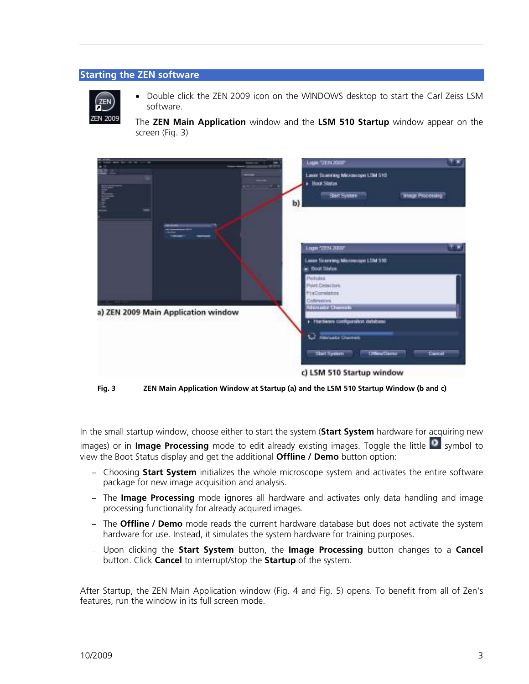### **Starting the ZEN software**



• Double click the ZEN 2009 icon on the WINDOWS desktop to start the Carl Zeiss LSM software.

The **ZEN Main Application** window and the **LSM 510 Startup** window appear on the screen (Fig. 3)



**Fig. 3 ZEN Main Application Window at Startup (a) and the LSM 510 Startup Window (b and c)** 

In the small startup window, choose either to start the system (**Start System** hardware for acquiring new images) or in **Image Processing** mode to edit already existing images. Toggle the little **D** symbol to view the Boot Status display and get the additional **Offline / Demo** button option:

- Choosing **Start System** initializes the whole microscope system and activates the entire software package for new image acquisition and analysis.
- The **Image Processing** mode ignores all hardware and activates only data handling and image processing functionality for already acquired images.
- The **Offline / Demo** mode reads the current hardware database but does not activate the system hardware for use. Instead, it simulates the system hardware for training purposes.
- Upon clicking the **Start System** button, the **Image Processing** button changes to a **Cancel** button. Click **Cancel** to interrupt/stop the **Startup** of the system.

After Startup, the ZEN Main Application window (Fig. 4 and Fig. 5) opens. To benefit from all of Zen's features, run the window in its full screen mode.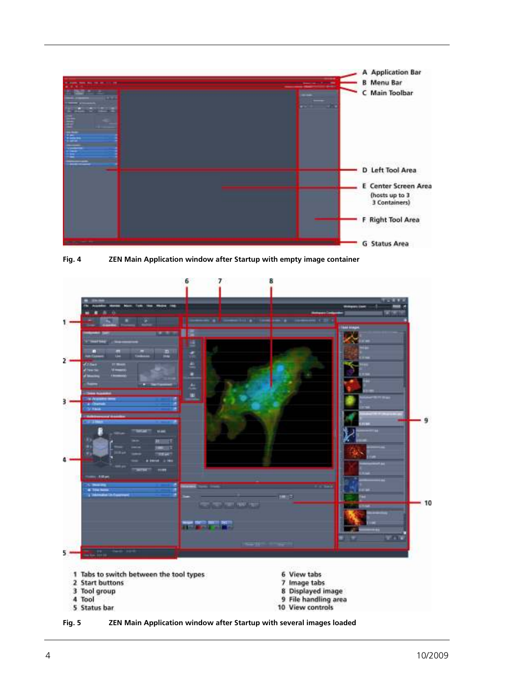

**Fig. 4 ZEN Main Application window after Startup with empty image container** 



**Fig. 5 ZEN Main Application window after Startup with several images loaded**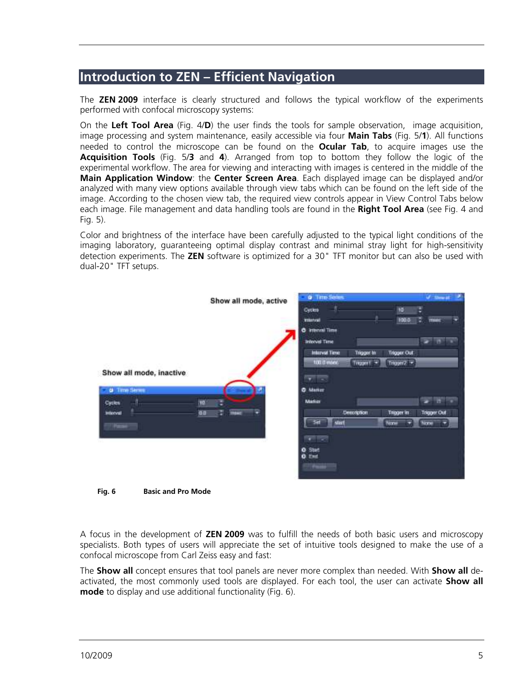## **Introduction to ZEN – Efficient Navigation**

The **ZEN 2009** interface is clearly structured and follows the typical workflow of the experiments performed with confocal microscopy systems:

On the **Left Tool Area** (Fig. 4/**D**) the user finds the tools for sample observation, image acquisition, image processing and system maintenance, easily accessible via four **Main Tabs** (Fig. 5/**1**). All functions needed to control the microscope can be found on the **Ocular Tab**, to acquire images use the **Acquisition Tools** (Fig. 5/**3** and **4**). Arranged from top to bottom they follow the logic of the experimental workflow. The area for viewing and interacting with images is centered in the middle of the **Main Application Window**: the **Center Screen Area**. Each displayed image can be displayed and/or analyzed with many view options available through view tabs which can be found on the left side of the image. According to the chosen view tab, the required view controls appear in View Control Tabs below each image. File management and data handling tools are found in the **Right Tool Area** (see Fig. 4 and Fig. 5).

Color and brightness of the interface have been carefully adjusted to the typical light conditions of the imaging laboratory, guaranteeing optimal display contrast and minimal stray light for high-sensitivity detection experiments. The **ZEN** software is optimized for a 30" TFT monitor but can also be used with dual-20" TFT setups.



**Fig. 6 Basic and Pro Mode** 

A focus in the development of **ZEN 2009** was to fulfill the needs of both basic users and microscopy specialists. Both types of users will appreciate the set of intuitive tools designed to make the use of a confocal microscope from Carl Zeiss easy and fast:

The **Show all** concept ensures that tool panels are never more complex than needed. With **Show all** deactivated, the most commonly used tools are displayed. For each tool, the user can activate **Show all mode** to display and use additional functionality (Fig. 6).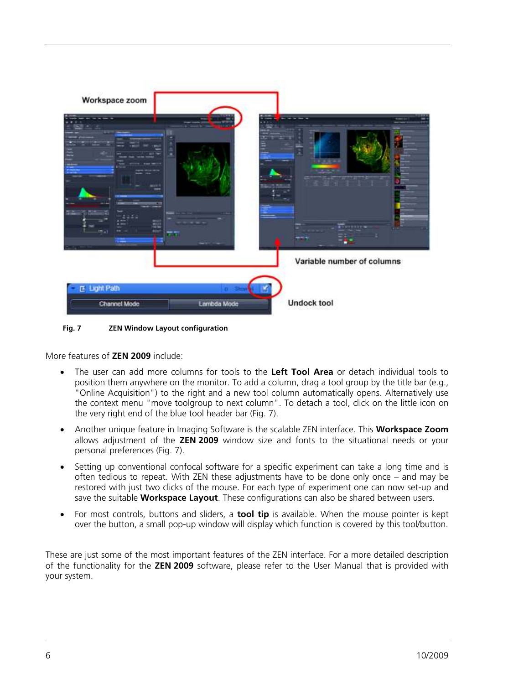

**Fig. 7 ZEN Window Layout configuration** 

More features of **ZEN 2009** include:

- ! The user can add more columns for tools to the **Left Tool Area** or detach individual tools to position them anywhere on the monitor. To add a column, drag a tool group by the title bar (e.g., "Online Acquisition") to the right and a new tool column automatically opens. Alternatively use the context menu "move toolgroup to next column". To detach a tool, click on the little icon on the very right end of the blue tool header bar (Fig. 7).
- ! Another unique feature in Imaging Software is the scalable ZEN interface. This **Workspace Zoom** allows adjustment of the **ZEN 2009** window size and fonts to the situational needs or your personal preferences (Fig. 7).
- Setting up conventional confocal software for a specific experiment can take a long time and is often tedious to repeat. With ZEN these adjustments have to be done only once – and may be restored with just two clicks of the mouse. For each type of experiment one can now set-up and save the suitable **Workspace Layout**. These configurations can also be shared between users.
- ! For most controls, buttons and sliders, a **tool tip** is available. When the mouse pointer is kept over the button, a small pop-up window will display which function is covered by this tool/button.

These are just some of the most important features of the ZEN interface. For a more detailed description of the functionality for the **ZEN 2009** software, please refer to the User Manual that is provided with your system.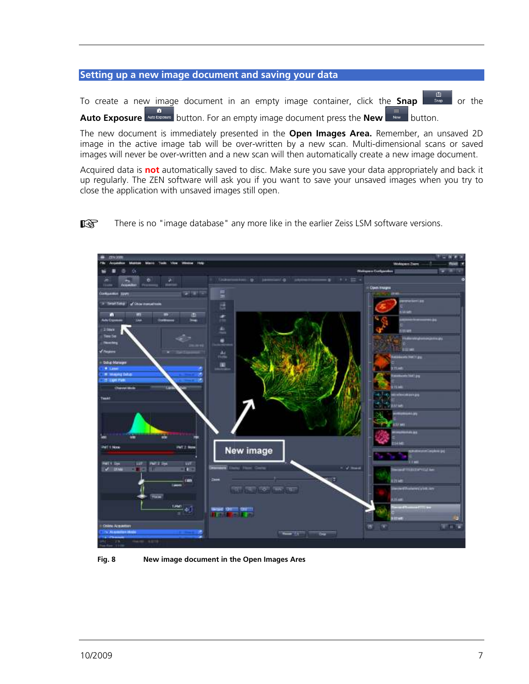## **Setting up a new image document and saving your data**

To create a new image document in an empty image container, click the **Snap** snap or the Auto Exposure **Auto Exposure** button. For an empty image document press the **New Rew** button.

The new document is immediately presented in the **Open Images Area.** Remember, an unsaved 2D image in the active image tab will be over-written by a new scan. Multi-dimensional scans or saved images will never be over-written and a new scan will then automatically create a new image document.

Acquired data is **not** automatically saved to disc. Make sure you save your data appropriately and back it up regularly. The ZEN software will ask you if you want to save your unsaved images when you try to close the application with unsaved images still open.

咚 There is no "image database" any more like in the earlier Zeiss LSM software versions.



**Fig. 8 New image document in the Open Images Ares**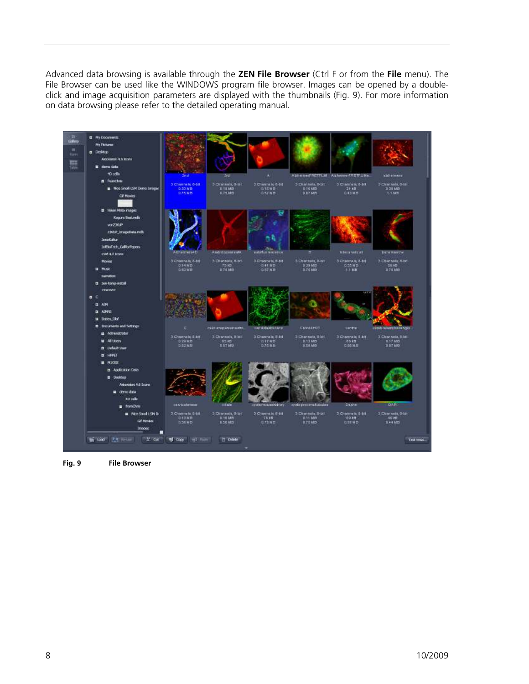Advanced data browsing is available through the **ZEN File Browser** (Ctrl F or from the **File** menu). The File Browser can be used like the WINDOWS program file browser. Images can be opened by a doubleclick and image acquisition parameters are displayed with the thumbnails (Fig. 9). For more information on data browsing please refer to the detailed operating manual.



**Fig. 9 File Browser**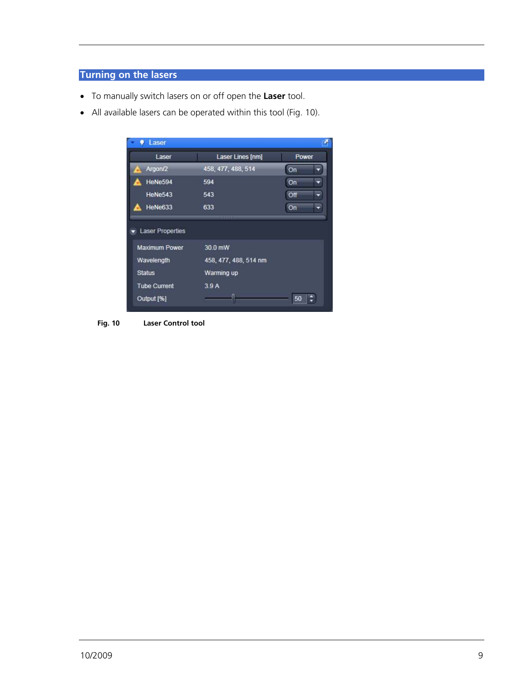## **Turning on the lasers**

- ! To manually switch lasers on or off open the **Laser** tool.
- All available lasers can be operated within this tool (Fig. 10).



**Fig. 10 Laser Control tool**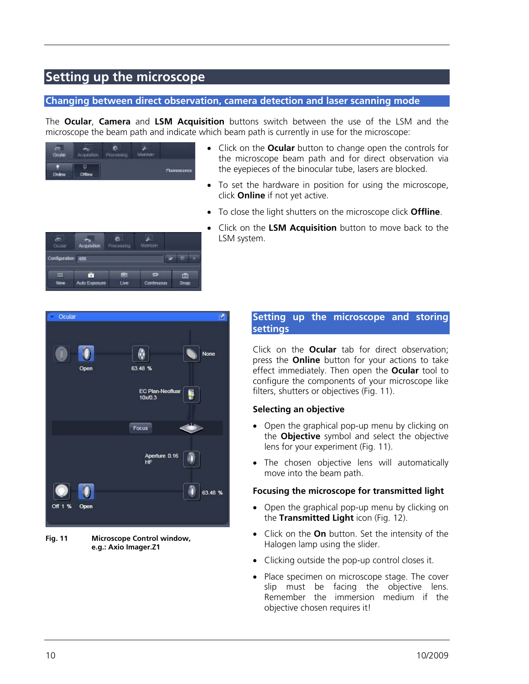## **Setting up the microscope**

### **Changing between direct observation, camera detection and laser scanning mode**

The **Ocular**, **Camera** and **LSM Acquisition** buttons switch between the use of the LSM and the microscope the beam path and indicate which beam path is currently in use for the microscope:

| m | non. | . |          |
|---|------|---|----------|
|   |      |   | Thumanns |

鹡

Freenston

**UM** 

п

6 Eup

Configuration 638

 $\frac{1}{\text{Matrix}}$ 

 $\blacksquare$ 

Continu

**BOTTLE** 

面

- ! Click on the **Ocular** button to change open the controls for the microscope beam path and for direct observation via the eyepieces of the binocular tube, lasers are blocked.
- To set the hardware in position for using the microscope, click **Online** if not yet active.
- ! To close the light shutters on the microscope click **Offline**.
- ! Click on the **LSM Acquisition** button to move back to the LSM system.



**Fig. 11 Microscope Control window, e.g.: Axio Imager.Z1** 

## **Setting up the microscope and storing settings**

Click on the **Ocular** tab for direct observation; press the **Online** button for your actions to take effect immediately. Then open the **Ocular** tool to configure the components of your microscope like filters, shutters or objectives (Fig. 11).

### **Selecting an objective**

- Open the graphical pop-up menu by clicking on the **Objective** symbol and select the objective lens for your experiment (Fig. 11).
- The chosen objective lens will automatically move into the beam path.

#### **Focusing the microscope for transmitted light**

- Open the graphical pop-up menu by clicking on the **Transmitted Light** icon (Fig. 12).
- Click on the **On** button. Set the intensity of the Halogen lamp using the slider.
- Clicking outside the pop-up control closes it.
- ! Place specimen on microscope stage. The cover slip must be facing the objective lens. Remember the immersion medium if the objective chosen requires it!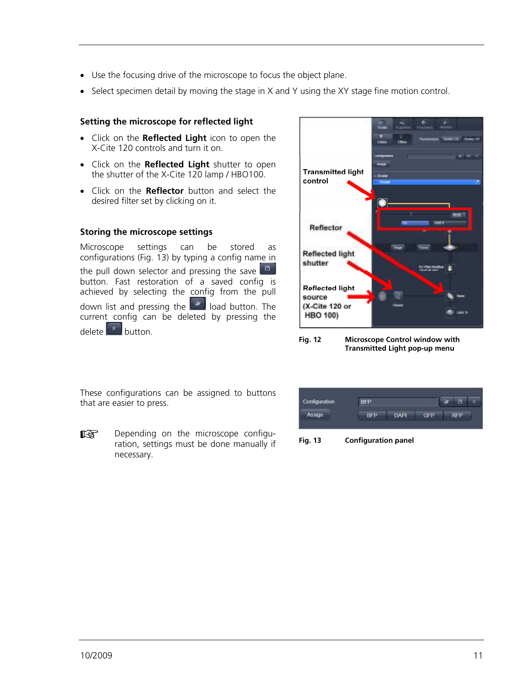- Use the focusing drive of the microscope to focus the object plane.
- ! Select specimen detail by moving the stage in X and Y using the XY stage fine motion control.

### **Setting the microscope for reflected light**

- ! Click on the **Reflected Light** icon to open the X-Cite 120 controls and turn it on.
- ! Click on the **Reflected Light** shutter to open the shutter of the X-Cite 120 lamp / HBO100.
- ! Click on the **Reflector** button and select the desired filter set by clicking on it.

### **Storing the microscope settings**

Microscope settings can be stored as configurations (Fig. 13) by typing a config name in the pull down selector and pressing the save  $\Box$ button. Fast restoration of a saved config is achieved by selecting the config from the pull down list and pressing the  $\boxed{2}$  load button. The current config can be deleted by pressing the  $\log_{10}$   $\left[\frac{x}{x}\right]$  button.



**Fig. 12 Microscope Control window with Transmitted Light pop-up menu** 

These configurations can be assigned to buttons that are easier to press.

咚 Depending on the microscope configuration, settings must be done manually if necessary.

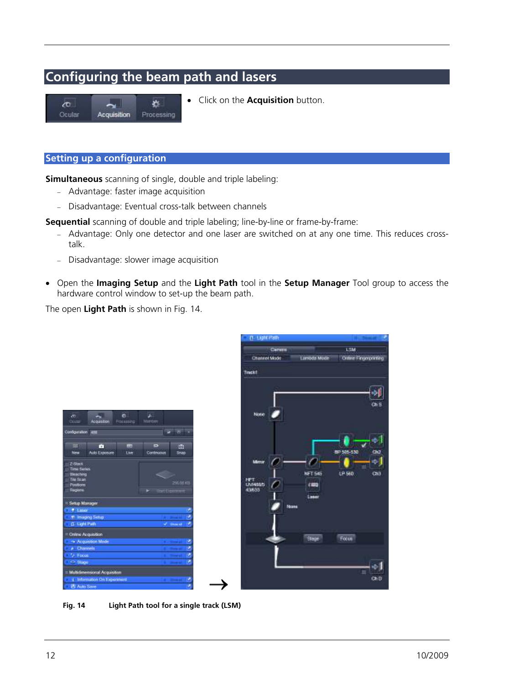## **Configuring the beam path and lasers**

| Ocular | Acquisition | Processing |
|--------|-------------|------------|

! Click on the **Acquisition** button.

## **Setting up a configuration**

**Simultaneous** scanning of single, double and triple labeling:

- Advantage: faster image acquisition
- Disadvantage: Eventual cross-talk between channels

**Sequential** scanning of double and triple labeling; line-by-line or frame-by-frame:

- Advantage: Only one detector and one laser are switched on at any one time. This reduces crosstalk.
- Disadvantage: slower image acquisition
- ! Open the **Imaging Setup** and the **Light Path** tool in the **Setup Manager** Tool group to access the hardware control window to set-up the beam path.

The open **Light Path** is shown in Fig. 14.

г

al Acqu

**G. Light Pat** 



**Fig. 14 Light Path tool for a single track (LSM)** 

匝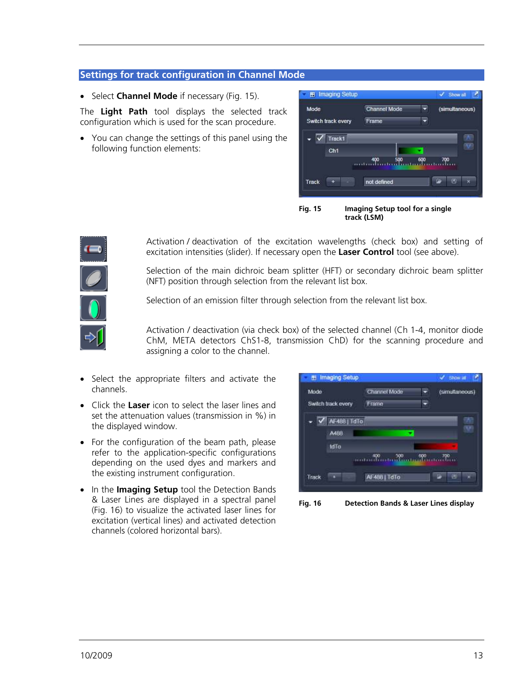### **Settings for track configuration in Channel Mode**

! Select **Channel Mode** if necessary (Fig. 15).

The **Light Path** tool displays the selected track configuration which is used for the scan procedure.

! You can change the settings of this panel using the following function elements:



**track (LSM)** 



Activation / deactivation of the excitation wavelengths (check box) and setting of excitation intensities (slider). If necessary open the **Laser Control** tool (see above).

Selection of the main dichroic beam splitter (HFT) or secondary dichroic beam splitter (NFT) position through selection from the relevant list box.

Selection of an emission filter through selection from the relevant list box.

Activation / deactivation (via check box) of the selected channel (Ch 1-4, monitor diode ChM, META detectors ChS1-8, transmission ChD) for the scanning procedure and assigning a color to the channel.

- Select the appropriate filters and activate the channels.
- ! Click the **Laser** icon to select the laser lines and set the attenuation values (transmission in %) in the displayed window.
- For the configuration of the beam path, please refer to the application-specific configurations depending on the used dyes and markers and the existing instrument configuration.
- ! In the **Imaging Setup** tool the Detection Bands & Laser Lines are displayed in a spectral panel (Fig. 16) to visualize the activated laser lines for excitation (vertical lines) and activated detection channels (colored horizontal bars).



**Fig. 16 Detection Bands & Laser Lines display**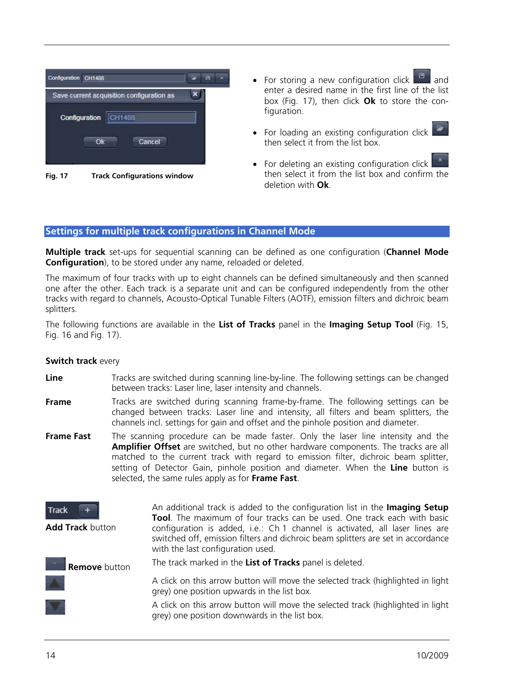

**Fig. 17 Track Configurations window** 

- $\bullet$  For storing a new configuration click  $\Box$  and enter a desired name in the first line of the list box (Fig. 17), then click **Ok** to store the configuration.
- For loading an existing configuration click then select it from the list box.
- For deleting an existing configuration click then select it from the list box and confirm the deletion with **Ok**.

#### **Settings for multiple track configurations in Channel Mode**

**Multiple track** set-ups for sequential scanning can be defined as one configuration (**Channel Mode Configuration**), to be stored under any name, reloaded or deleted.

The maximum of four tracks with up to eight channels can be defined simultaneously and then scanned one after the other. Each track is a separate unit and can be configured independently from the other tracks with regard to channels, Acousto-Optical Tunable Filters (AOTF), emission filters and dichroic beam splitters.

The following functions are available in the **List of Tracks** panel in the **Imaging Setup Tool** (Fig. 15, Fig. 16 and Fig. 17).

#### **Switch track** every

- **Line** Tracks are switched during scanning line-by-line. The following settings can be changed between tracks: Laser line, laser intensity and channels.
- **Frame** Tracks are switched during scanning frame-by-frame. The following settings can be changed between tracks: Laser line and intensity, all filters and beam splitters, the channels incl. settings for gain and offset and the pinhole position and diameter.
- **Frame Fast** The scanning procedure can be made faster. Only the laser line intensity and the **Amplifier Offset** are switched, but no other hardware components. The tracks are all matched to the current track with regard to emission filter, dichroic beam splitter, setting of Detector Gain, pinhole position and diameter. When the **Line** button is selected, the same rules apply as for **Frame Fast**.

| <b>Track</b><br><b>Add Track button</b> | An additional track is added to the configuration list in the Imaging Setup<br>Tool. The maximum of four tracks can be used. One track each with basic<br>configuration is added, i.e.: Ch 1 channel is activated, all laser lines are<br>switched off, emission filters and dichroic beam splitters are set in accordance<br>with the last configuration used. |
|-----------------------------------------|-----------------------------------------------------------------------------------------------------------------------------------------------------------------------------------------------------------------------------------------------------------------------------------------------------------------------------------------------------------------|
| Remove button                           | The track marked in the List of Tracks panel is deleted.                                                                                                                                                                                                                                                                                                        |
|                                         | A click on this arrow button will move the selected track (highlighted in light<br>grey) one position upwards in the list box.                                                                                                                                                                                                                                  |
| M                                       | A click on this arrow button will move the selected track (highlighted in light<br>grey) one position downwards in the list box.                                                                                                                                                                                                                                |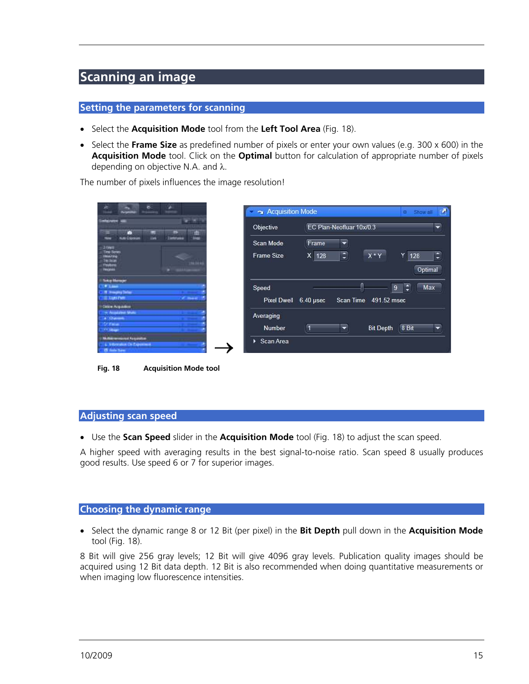## **Scanning an image**

## **Setting the parameters for scanning**

- ! Select the **Acquisition Mode** tool from the **Left Tool Area** (Fig. 18).
- ! Select the **Frame Size** as predefined number of pixels or enter your own values (e.g. 300 x 600) in the **Acquisition Mode** tool. Click on the **Optimal** button for calculation of appropriate number of pixels depending on objective N.A. and  $\lambda$ .

The number of pixels influences the image resolution!

| s<br>×                               |                                     | Acquisition Mode                  | Show all <b>12</b><br>$\Box$                          |
|--------------------------------------|-------------------------------------|-----------------------------------|-------------------------------------------------------|
| <b><i><u>Confessionent</u></i></b>   | m                                   | Objective                         | EC Plan-Neofluar 10x/0.3                              |
| а<br>Contage<br>٠                    | 面<br>⇒<br>tion:<br><b>Generusia</b> |                                   |                                                       |
| 2 fales                              |                                     | Scan Mode<br>Frame                | ۰                                                     |
| <b>Time Sone</b><br><b>INAVAL</b>    |                                     | $X$ 128<br><b>Frame Size</b>      | $\ddot{\phantom{0}}$<br>$X^*Y$<br>Y<br>128            |
| <b>TWO DIESE</b><br><b>Flexibons</b> | 100000                              |                                   |                                                       |
| <b>Finginia</b>                      | <b>HARAN</b><br>                    |                                   | Optimal                                               |
| <b>Sido Menoe</b>                    |                                     |                                   |                                                       |
| <b>William</b>                       |                                     | Speed                             | ∶<br>Max<br>9                                         |
| 18 Hongmy Solve<br><b>HE LUXERER</b> | of these                            |                                   |                                                       |
| <b>Calce Aquilion</b>                |                                     | $6.40$ µsec<br><b>Pixel Dwell</b> | 491.52 msec<br>Scan Time                              |
| - Augustaven Multo                   |                                     | Averaging                         |                                                       |
| A Grande                             |                                     |                                   |                                                       |
| St False 1<br>Title Sibigan          |                                     | Number                            | 8 Bit<br>$\overline{\phantom{0}}$<br><b>Bit Depth</b> |
| Multiple removant Augustion          |                                     |                                   |                                                       |
| 4. Edouatus Os Experiment            |                                     | Scan Area<br>▶                    |                                                       |
| <b>El Sale Sale</b>                  |                                     |                                   |                                                       |

**Fig. 18 Acquisition Mode tool** 

### **Adjusting scan speed**

! Use the **Scan Speed** slider in the **Acquisition Mode** tool (Fig. 18) to adjust the scan speed.

A higher speed with averaging results in the best signal-to-noise ratio. Scan speed 8 usually produces good results. Use speed 6 or 7 for superior images.

## **Choosing the dynamic range**

! Select the dynamic range 8 or 12 Bit (per pixel) in the **Bit Depth** pull down in the **Acquisition Mode**  tool (Fig. 18).

8 Bit will give 256 gray levels; 12 Bit will give 4096 gray levels. Publication quality images should be acquired using 12 Bit data depth. 12 Bit is also recommended when doing quantitative measurements or when imaging low fluorescence intensities.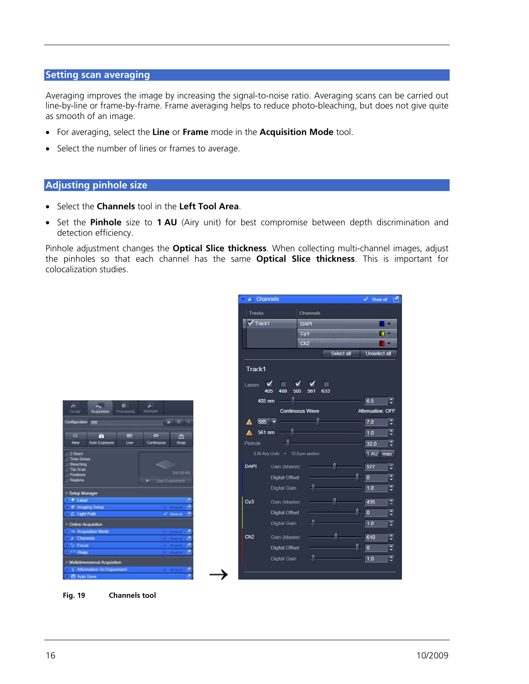#### **Setting scan averaging**

Averaging improves the image by increasing the signal-to-noise ratio. Averaging scans can be carried out line-by-line or frame-by-frame. Frame averaging helps to reduce photo-bleaching, but does not give quite as smooth of an image.

- ! For averaging, select the **Line** or **Frame** mode in the **Acquisition Mode** tool.
- Select the number of lines or frames to average.

## **Adjusting pinhole size**

- ! Select the **Channels** tool in the **Left Tool Area**.
- ! Set the **Pinhole** size to **1 AU** (Airy unit) for best compromise between depth discrimination and detection efficiency.

Pinhole adjustment changes the **Optical Slice thickness**. When collecting multi-channel images, adjust the pinholes so that each channel has the same **Optical Slice thickness**. This is important for colocalization studies.



**Fig. 19 Channels tool** 

 $\overline{\phantom{a}}$ 

 $\mathbf{r}$ 

**Card** 

⋷

Ę

 $\overline{\mathbf{E}}$ 

E

E

E

E

Ę

E

E

Ŗ

E

E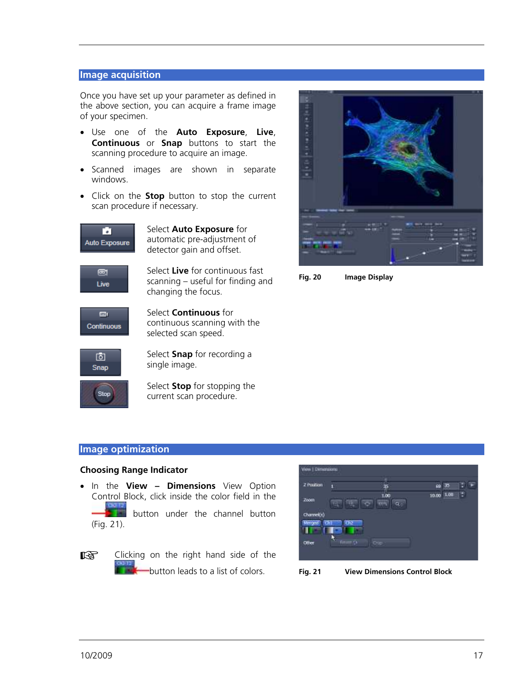#### **Image acquisition**

Once you have set up your parameter as defined in the above section, you can acquire a frame image of your specimen.

- ! Use one of the **Auto Exposure**, **Live**, **Continuous** or **Snap** buttons to start the scanning procedure to acquire an image.
- Scanned images are shown in separate windows.
- ! Click on the **Stop** button to stop the current scan procedure if necessary.



Select **Auto Exposure** for automatic pre-adjustment of detector gain and offset.



Select **Live** for continuous fast scanning – useful for finding and changing the focus.



Select **Continuous** for continuous scanning with the selected scan speed.



Select **Snap** for recording a single image.



Select **Stop** for stopping the current scan procedure.



**Fig. 20 Image Display** 

## **Image optimization**

#### **Choosing Range Indicator**

! In the **View – Dimensions** View Option Control Block, click inside the color field in the

 button under the channel button (Fig. 21).





**Fig. 21 View Dimensions Control Block** 

咚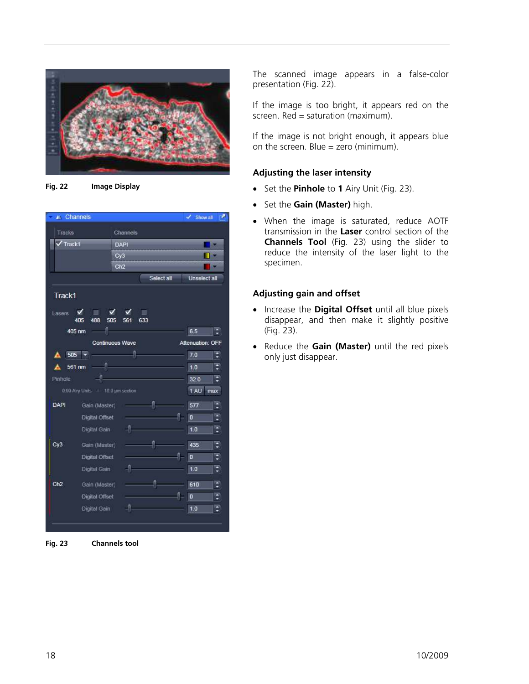

**Fig. 22 Image Display** 

|                   | <b>A</b> Channels                      |                                              |                                                                                                                                                                                                                                                                                                                                                                                                                                                         |        | Show all                |
|-------------------|----------------------------------------|----------------------------------------------|---------------------------------------------------------------------------------------------------------------------------------------------------------------------------------------------------------------------------------------------------------------------------------------------------------------------------------------------------------------------------------------------------------------------------------------------------------|--------|-------------------------|
| Tracks            |                                        | Channels                                     |                                                                                                                                                                                                                                                                                                                                                                                                                                                         |        |                         |
| $\sqrt{T}$ Track1 |                                        | <b>DAPI</b>                                  |                                                                                                                                                                                                                                                                                                                                                                                                                                                         |        |                         |
|                   |                                        | Cy3                                          |                                                                                                                                                                                                                                                                                                                                                                                                                                                         |        | н<br>۰.                 |
|                   |                                        | Ch2                                          |                                                                                                                                                                                                                                                                                                                                                                                                                                                         |        |                         |
|                   |                                        |                                              | Select all                                                                                                                                                                                                                                                                                                                                                                                                                                              |        | <b>Unselect all</b>     |
| Track1            |                                        |                                              |                                                                                                                                                                                                                                                                                                                                                                                                                                                         |        |                         |
| Lasers $\sqrt{}$  | 405                                    | $\blacksquare$ $\blacksquare$<br>488 505 561 | $\mathcal{A}$<br>633                                                                                                                                                                                                                                                                                                                                                                                                                                    |        |                         |
|                   | 405 nm                                 |                                              |                                                                                                                                                                                                                                                                                                                                                                                                                                                         | 6.5    | э                       |
|                   |                                        | <b>Continuous Wave</b>                       |                                                                                                                                                                                                                                                                                                                                                                                                                                                         |        | <b>Attenuation: OFF</b> |
|                   | $\triangle$ 505 $\sim$ 7.0             |                                              |                                                                                                                                                                                                                                                                                                                                                                                                                                                         |        |                         |
|                   | $\triangle$ 561 nm $\qquad \qquad$ 1.0 |                                              |                                                                                                                                                                                                                                                                                                                                                                                                                                                         |        | ⋥                       |
|                   | Pinhole 132.0                          |                                              |                                                                                                                                                                                                                                                                                                                                                                                                                                                         |        | ₹                       |
|                   | $0.99$ Airy Units = $10.0$ µm section  |                                              |                                                                                                                                                                                                                                                                                                                                                                                                                                                         | 1 AU   | max                     |
| DAPI              | Gain (Master)                          |                                              | $\sim$ 1577                                                                                                                                                                                                                                                                                                                                                                                                                                             |        | $\ddot{\cdot}$          |
|                   | Digital Offset                         |                                              | $\begin{array}{ c c c c c }\n\hline\n\text{--} & \text{--} & \text{--} & \text{--} \\ \hline\n\text{--} & \text{--} & \text{--} & \text{--} & \text{--} & \text{--} \\ \hline\n\text{--} & \text{--} & \text{--} & \text{--} & \text{--} & \text{--} & \text{--} \\ \hline\n\text{--} & \text{--} & \text{--} & \text{--} & \text{--} & \text{--} & \text{--} & \text{--} & \text{--} \\ \hline\n\text{--} & \text{--} & \text{--} & \text{--} & \text$ |        | $\ddot{\cdot}$          |
|                   | Digital Gain                           |                                              |                                                                                                                                                                                                                                                                                                                                                                                                                                                         | 1.0    | ÷                       |
| Cy3               | Gain (Master)                          |                                              | $\sim$ 435                                                                                                                                                                                                                                                                                                                                                                                                                                              |        | Ð                       |
|                   | Digital Offset                         |                                              |                                                                                                                                                                                                                                                                                                                                                                                                                                                         |        | $\ddot{\cdot}$          |
|                   | Digital Gain                           |                                              |                                                                                                                                                                                                                                                                                                                                                                                                                                                         | $-1.0$ | $\ddot{\phantom{0}}$    |
| Ch2               | Gain (Master)                          |                                              | $\sim$ 610                                                                                                                                                                                                                                                                                                                                                                                                                                              |        | $\ddot{\phantom{0}}$    |
|                   | Digital Offset                         |                                              | $\begin{array}{ c c c c c }\n\hline\n\text{1} & \text{0}\n\end{array}$                                                                                                                                                                                                                                                                                                                                                                                  |        | Э                       |
|                   | Digital Gain                           |                                              | $\sim$ 1.0                                                                                                                                                                                                                                                                                                                                                                                                                                              |        | ÷                       |
|                   |                                        |                                              |                                                                                                                                                                                                                                                                                                                                                                                                                                                         |        |                         |

**Fig. 23 Channels tool** 

The scanned image appears in a false-color presentation (Fig. 22).

If the image is too bright, it appears red on the screen.  $Red = saturation (maximum)$ .

If the image is not bright enough, it appears blue on the screen. Blue  $=$  zero (minimum).

### **Adjusting the laser intensity**

- ! Set the **Pinhole** to **1** Airy Unit (Fig. 23).
- ! Set the **Gain (Master)** high.
- . When the image is saturated, reduce AOTF transmission in the **Laser** control section of the **Channels Tool** (Fig. 23) using the slider to reduce the intensity of the laser light to the specimen.

#### **Adjusting gain and offset**

- ! Increase the **Digital Offset** until all blue pixels disappear, and then make it slightly positive (Fig. 23).
- ! Reduce the **Gain (Master)** until the red pixels only just disappear.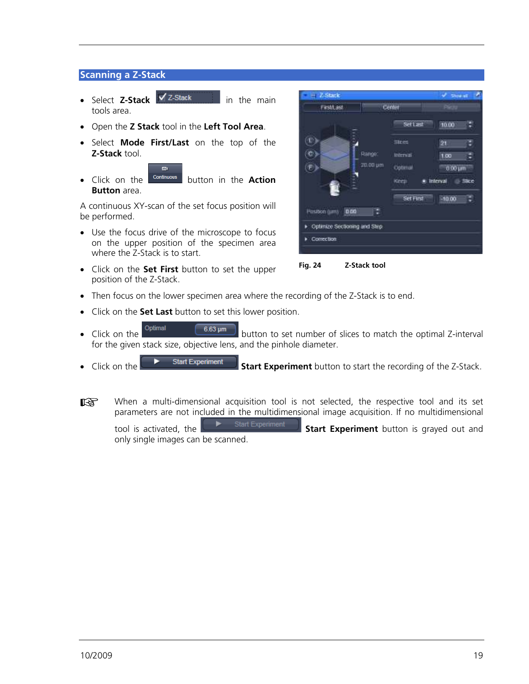### **Scanning a Z-Stack**

- Select **Z-Stack Z-Stack** in the main tools area.
- ! Open the **Z Stack** tool in the **Left Tool Area**.

 $\overline{\mathbf{c}}$ 

- ! Select **Mode First/Last** on the top of the **Z-Stack** tool.
- **•** Click on the **continuous** button in the **Action Button** area.

A continuous XY-scan of the set focus position will be performed.

- Use the focus drive of the microscope to focus on the upper position of the specimen area where the Z-Stack is to start.
- ! Click on the **Set First** button to set the upper position of the Z-Stack.





- Then focus on the lower specimen area where the recording of the Z-Stack is to end.
- ! Click on the **Set Last** button to set this lower position.
- Click on the  $\frac{9ptimal}{10ptimal}$   $\frac{6.63 \mu m}{10pt}$  button to set number of slices to match the optimal Z-interval for the given stack size, objective lens, and the pinhole diameter.

• Click on the **Start Experiment** Start Experiment button to start the recording of the Z-Stack.

咚 When a multi-dimensional acquisition tool is not selected, the respective tool and its set parameters are not included in the multidimensional image acquisition. If no multidimensional tool is activated, the **Start Experiment** button is grayed out and

only single images can be scanned.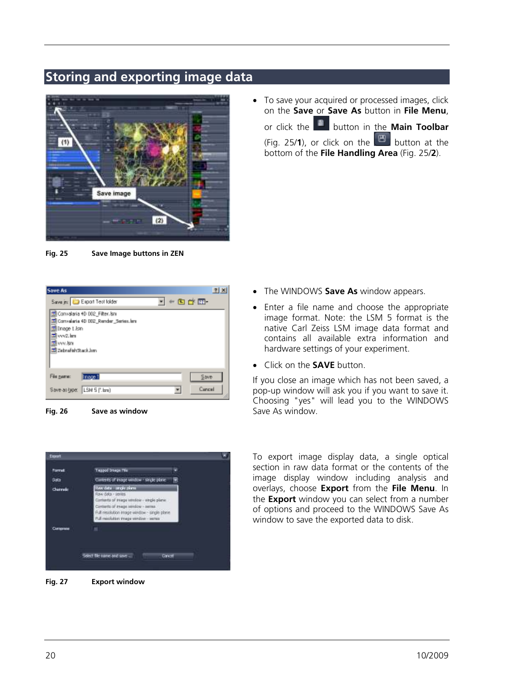## **Storing and exporting image data**



**Fig. 25 Save Image buttons in ZEN** 



**Fig. 26 Save as window** 



**Fig. 27 Export window** 

• To save your acquired or processed images, click on the **Save** or **Save As** button in **File Menu**, or click the button in the **Main Toolbar**  (Fig. 25/**1**), or click on the  $\Box$  button at the bottom of the **File Handling Area** (Fig. 25/**2**).

- ! The WINDOWS **Save As** window appears.
- Enter a file name and choose the appropriate image format. Note: the LSM 5 format is the native Carl Zeiss LSM image data format and contains all available extra information and hardware settings of your experiment.
- **•** Click on the **SAVE** button.

If you close an image which has not been saved, a pop-up window will ask you if you want to save it. Choosing "yes" will lead you to the WINDOWS Save As window.

To export image display data, a single optical section in raw data format or the contents of the image display window including analysis and overlays, choose **Export** from the **File Menu**. In the **Export** window you can select from a number of options and proceed to the WINDOWS Save As window to save the exported data to disk.